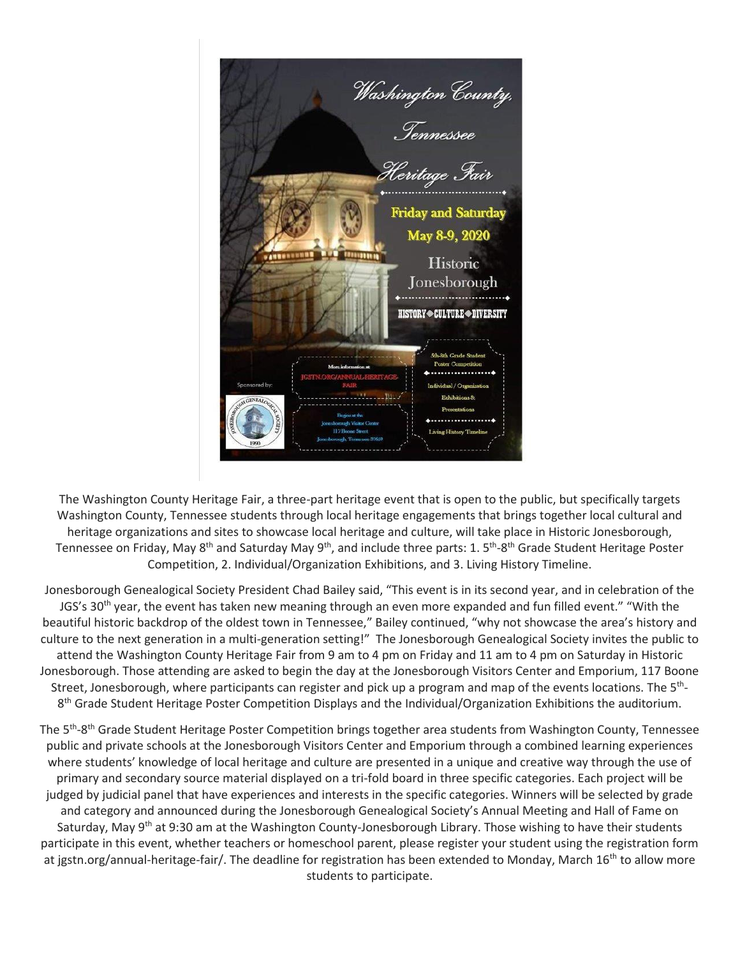

The Washington County Heritage Fair, a three-part heritage event that is open to the public, but specifically targets Washington County, Tennessee students through local heritage engagements that brings together local cultural and heritage organizations and sites to showcase local heritage and culture, will take place in Historic Jonesborough, Tennessee on Friday, May 8<sup>th</sup> and Saturday May 9<sup>th</sup>, and include three parts: 1. 5<sup>th</sup>-8<sup>th</sup> Grade Student Heritage Poster Competition, 2. Individual/Organization Exhibitions, and 3. Living History Timeline.

Jonesborough Genealogical Society President Chad Bailey said, "This event is in its second year, and in celebration of the JGS's 30<sup>th</sup> year, the event has taken new meaning through an even more expanded and fun filled event." "With the beautiful historic backdrop of the oldest town in Tennessee," Bailey continued, "why not showcase the area's history and culture to the next generation in a multi-generation setting!" The Jonesborough Genealogical Society invites the public to attend the Washington County Heritage Fair from 9 am to 4 pm on Friday and 11 am to 4 pm on Saturday in Historic Jonesborough. Those attending are asked to begin the day at the Jonesborough Visitors Center and Emporium, 117 Boone Street, Jonesborough, where participants can register and pick up a program and map of the events locations. The 5<sup>th</sup>-8<sup>th</sup> Grade Student Heritage Poster Competition Displays and the Individual/Organization Exhibitions the auditorium.

The 5<sup>th</sup>-8<sup>th</sup> Grade Student Heritage Poster Competition brings together area students from Washington County, Tennessee public and private schools at the Jonesborough Visitors Center and Emporium through a combined learning experiences where students' knowledge of local heritage and culture are presented in a unique and creative way through the use of primary and secondary source material displayed on a tri-fold board in three specific categories. Each project will be judged by judicial panel that have experiences and interests in the specific categories. Winners will be selected by grade and category and announced during the Jonesborough Genealogical Society's Annual Meeting and Hall of Fame on Saturday, May 9<sup>th</sup> at 9:30 am at the Washington County-Jonesborough Library. Those wishing to have their students participate in this event, whether teachers or homeschool parent, please register your student using the registration form at jgstn.org/annual-heritage-fair/. The deadline for registration has been extended to Monday, March 16<sup>th</sup> to allow more students to participate.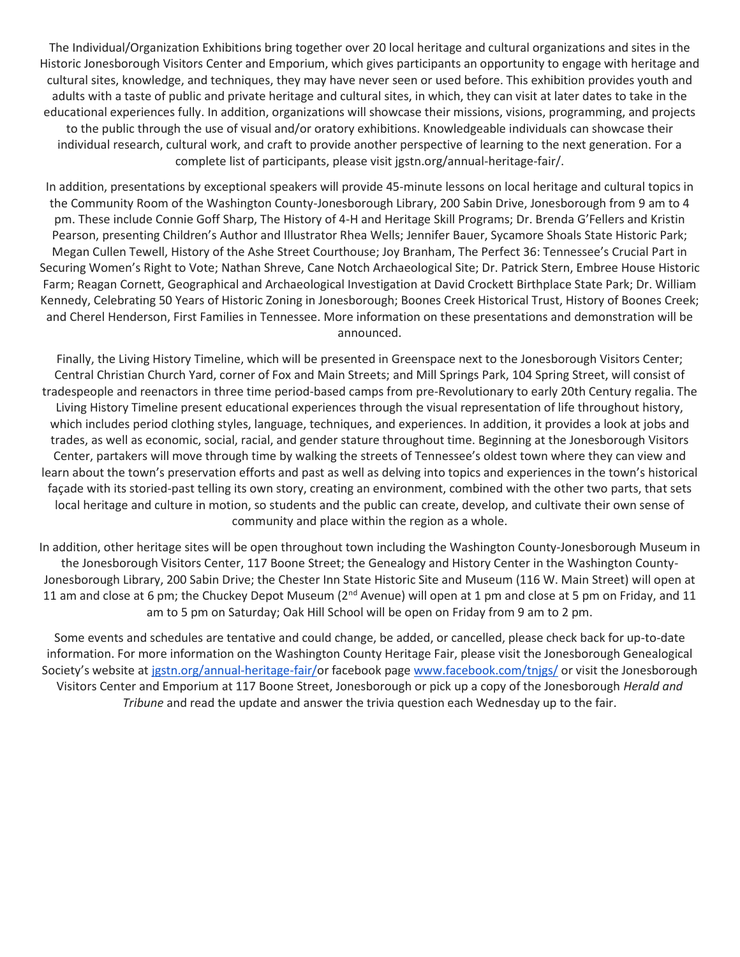The Individual/Organization Exhibitions bring together over 20 local heritage and cultural organizations and sites in the Historic Jonesborough Visitors Center and Emporium, which gives participants an opportunity to engage with heritage and cultural sites, knowledge, and techniques, they may have never seen or used before. This exhibition provides youth and adults with a taste of public and private heritage and cultural sites, in which, they can visit at later dates to take in the educational experiences fully. In addition, organizations will showcase their missions, visions, programming, and projects to the public through the use of visual and/or oratory exhibitions. Knowledgeable individuals can showcase their individual research, cultural work, and craft to provide another perspective of learning to the next generation. For a complete list of participants, please visit jgstn.org/annual-heritage-fair/.

In addition, presentations by exceptional speakers will provide 45-minute lessons on local heritage and cultural topics in the Community Room of the Washington County-Jonesborough Library, 200 Sabin Drive, Jonesborough from 9 am to 4 pm. These include Connie Goff Sharp, The History of 4-H and Heritage Skill Programs; Dr. Brenda G'Fellers and Kristin Pearson, presenting Children's Author and Illustrator Rhea Wells; Jennifer Bauer, Sycamore Shoals State Historic Park; Megan Cullen Tewell, History of the Ashe Street Courthouse; Joy Branham, The Perfect 36: Tennessee's Crucial Part in Securing Women's Right to Vote; Nathan Shreve, Cane Notch Archaeological Site; Dr. Patrick Stern, Embree House Historic Farm; Reagan Cornett, Geographical and Archaeological Investigation at David Crockett Birthplace State Park; Dr. William Kennedy, Celebrating 50 Years of Historic Zoning in Jonesborough; Boones Creek Historical Trust, History of Boones Creek; and Cherel Henderson, First Families in Tennessee. More information on these presentations and demonstration will be announced.

Finally, the Living History Timeline, which will be presented in Greenspace next to the Jonesborough Visitors Center; Central Christian Church Yard, corner of Fox and Main Streets; and Mill Springs Park, 104 Spring Street, will consist of tradespeople and reenactors in three time period-based camps from pre-Revolutionary to early 20th Century regalia. The Living History Timeline present educational experiences through the visual representation of life throughout history, which includes period clothing styles, language, techniques, and experiences. In addition, it provides a look at jobs and trades, as well as economic, social, racial, and gender stature throughout time. Beginning at the Jonesborough Visitors Center, partakers will move through time by walking the streets of Tennessee's oldest town where they can view and learn about the town's preservation efforts and past as well as delving into topics and experiences in the town's historical façade with its storied-past telling its own story, creating an environment, combined with the other two parts, that sets local heritage and culture in motion, so students and the public can create, develop, and cultivate their own sense of community and place within the region as a whole.

In addition, other heritage sites will be open throughout town including the Washington County-Jonesborough Museum in the Jonesborough Visitors Center, 117 Boone Street; the Genealogy and History Center in the Washington County-Jonesborough Library, 200 Sabin Drive; the Chester Inn State Historic Site and Museum (116 W. Main Street) will open at 11 am and close at 6 pm; the Chuckey Depot Museum ( $2^{nd}$  Avenue) will open at 1 pm and close at 5 pm on Friday, and 11 am to 5 pm on Saturday; Oak Hill School will be open on Friday from 9 am to 2 pm.

Some events and schedules are tentative and could change, be added, or cancelled, please check back for up-to-date information. For more information on the Washington County Heritage Fair, please visit the Jonesborough Genealogical Society's website at [jgstn.org/annual-heritage-fair/o](http://jgstn.org/annual-heritage-fair/)r facebook page [www.facebook.com/tnjgs/](http://www.facebook.com/tnjgs/) or visit the Jonesborough Visitors Center and Emporium at 117 Boone Street, Jonesborough or pick up a copy of the Jonesborough *Herald and Tribune* and read the update and answer the trivia question each Wednesday up to the fair.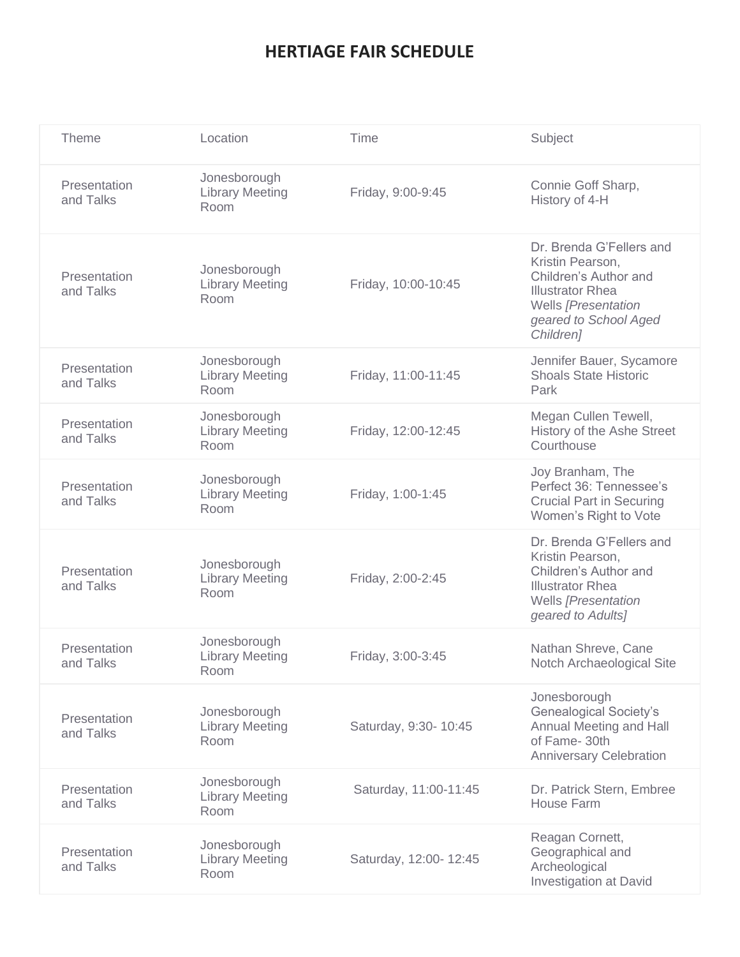## **HERTIAGE FAIR SCHEDULE**

| Theme                     | Location                                       | <b>Time</b>           | Subject                                                                                                                                                       |
|---------------------------|------------------------------------------------|-----------------------|---------------------------------------------------------------------------------------------------------------------------------------------------------------|
| Presentation<br>and Talks | Jonesborough<br><b>Library Meeting</b><br>Room | Friday, 9:00-9:45     | Connie Goff Sharp,<br>History of 4-H                                                                                                                          |
| Presentation<br>and Talks | Jonesborough<br><b>Library Meeting</b><br>Room | Friday, 10:00-10:45   | Dr. Brenda G'Fellers and<br>Kristin Pearson,<br>Children's Author and<br><b>Illustrator Rhea</b><br>Wells [Presentation<br>geared to School Aged<br>Children] |
| Presentation<br>and Talks | Jonesborough<br><b>Library Meeting</b><br>Room | Friday, 11:00-11:45   | Jennifer Bauer, Sycamore<br><b>Shoals State Historic</b><br>Park                                                                                              |
| Presentation<br>and Talks | Jonesborough<br><b>Library Meeting</b><br>Room | Friday, 12:00-12:45   | Megan Cullen Tewell,<br>History of the Ashe Street<br>Courthouse                                                                                              |
| Presentation<br>and Talks | Jonesborough<br><b>Library Meeting</b><br>Room | Friday, 1:00-1:45     | Joy Branham, The<br>Perfect 36: Tennessee's<br><b>Crucial Part in Securing</b><br>Women's Right to Vote                                                       |
| Presentation<br>and Talks | Jonesborough<br><b>Library Meeting</b><br>Room | Friday, 2:00-2:45     | Dr. Brenda G'Fellers and<br>Kristin Pearson,<br>Children's Author and<br><b>Illustrator Rhea</b><br>Wells [Presentation<br>geared to Adults]                  |
| Presentation<br>and Talks | Jonesborough<br><b>Library Meeting</b><br>Room | Friday, 3:00-3:45     | Nathan Shreve, Cane<br>Notch Archaeological Site                                                                                                              |
| Presentation<br>and Talks | Jonesborough<br><b>Library Meeting</b><br>Room | Saturday, 9:30- 10:45 | Jonesborough<br><b>Genealogical Society's</b><br>Annual Meeting and Hall<br>of Fame-30th<br><b>Anniversary Celebration</b>                                    |
| Presentation<br>and Talks | Jonesborough<br><b>Library Meeting</b><br>Room | Saturday, 11:00-11:45 | Dr. Patrick Stern, Embree<br>House Farm                                                                                                                       |
| Presentation<br>and Talks | Jonesborough<br><b>Library Meeting</b><br>Room | Saturday, 12:00-12:45 | Reagan Cornett,<br>Geographical and<br>Archeological<br><b>Investigation at David</b>                                                                         |